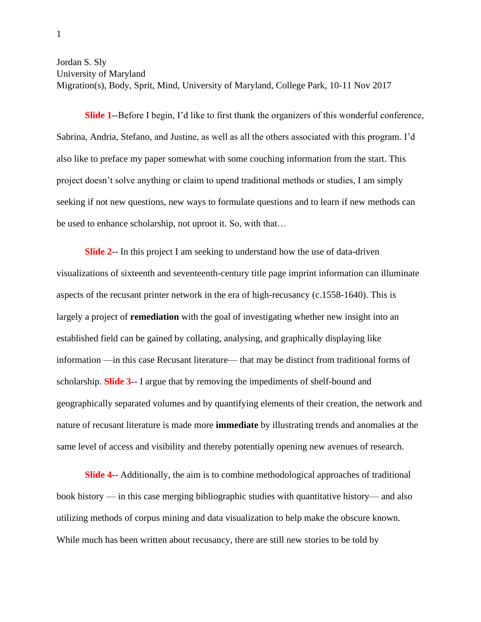Jordan S. Sly University of Maryland

Migration(s), Body, Sprit, Mind, University of Maryland, College Park, 10-11 Nov 2017

**Slide 1**--Before I begin, I'd like to first thank the organizers of this wonderful conference, Sabrina, Andria, Stefano, and Justine, as well as all the others associated with this program. I'd also like to preface my paper somewhat with some couching information from the start. This project doesn't solve anything or claim to upend traditional methods or studies, I am simply seeking if not new questions, new ways to formulate questions and to learn if new methods can be used to enhance scholarship, not uproot it. So, with that…

**Slide 2**-- In this project I am seeking to understand how the use of data-driven visualizations of sixteenth and seventeenth-century title page imprint information can illuminate aspects of the recusant printer network in the era of high-recusancy (c.1558-1640). This is largely a project of **remediation** with the goal of investigating whether new insight into an established field can be gained by collating, analysing, and graphically displaying like information —in this case Recusant literature— that may be distinct from traditional forms of scholarship. **Slide 3**-- I argue that by removing the impediments of shelf-bound and geographically separated volumes and by quantifying elements of their creation, the network and nature of recusant literature is made more **immediate** by illustrating trends and anomalies at the same level of access and visibility and thereby potentially opening new avenues of research.

**Slide 4**-- Additionally, the aim is to combine methodological approaches of traditional book history — in this case merging bibliographic studies with quantitative history— and also utilizing methods of corpus mining and data visualization to help make the obscure known. While much has been written about recusancy, there are still new stories to be told by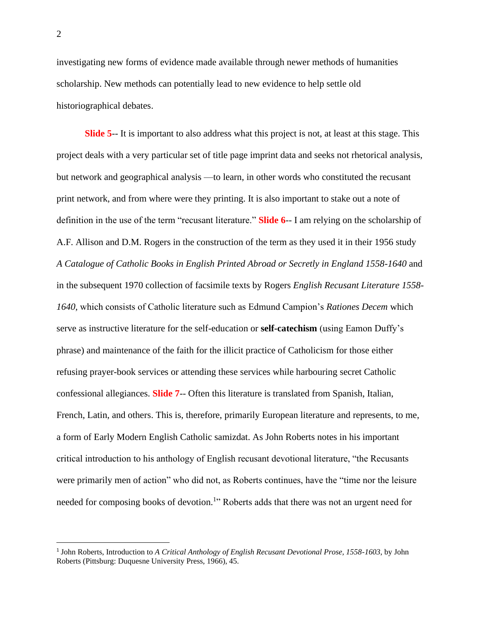investigating new forms of evidence made available through newer methods of humanities scholarship. New methods can potentially lead to new evidence to help settle old historiographical debates.

**Slide 5**-- It is important to also address what this project is not, at least at this stage. This project deals with a very particular set of title page imprint data and seeks not rhetorical analysis, but network and geographical analysis —to learn, in other words who constituted the recusant print network, and from where were they printing. It is also important to stake out a note of definition in the use of the term "recusant literature." **Slide 6**-- I am relying on the scholarship of A.F. Allison and D.M. Rogers in the construction of the term as they used it in their 1956 study *A Catalogue of Catholic Books in English Printed Abroad or Secretly in England 1558-1640* and in the subsequent 1970 collection of facsimile texts by Rogers *English Recusant Literature 1558- 1640,* which consists of Catholic literature such as Edmund Campion's *Rationes Decem* which serve as instructive literature for the self-education or **self-catechism** (using Eamon Duffy's phrase) and maintenance of the faith for the illicit practice of Catholicism for those either refusing prayer-book services or attending these services while harbouring secret Catholic confessional allegiances. **Slide 7**-- Often this literature is translated from Spanish, Italian, French, Latin, and others. This is, therefore, primarily European literature and represents, to me, a form of Early Modern English Catholic samizdat. As John Roberts notes in his important critical introduction to his anthology of English recusant devotional literature, "the Recusants were primarily men of action" who did not, as Roberts continues, have the "time nor the leisure needed for composing books of devotion.<sup>1</sup>" Roberts adds that there was not an urgent need for

<sup>&</sup>lt;sup>1</sup> John Roberts, Introduction to *A Critical Anthology of English Recusant Devotional Prose, 1558-1603*, by John Roberts (Pittsburg: Duquesne University Press, 1966), 45.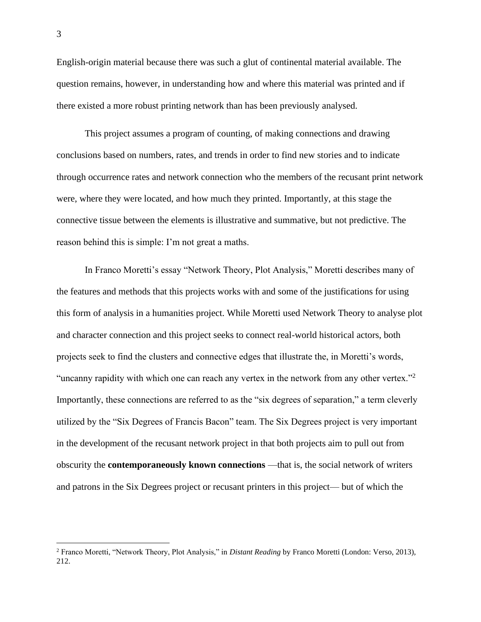English-origin material because there was such a glut of continental material available. The question remains, however, in understanding how and where this material was printed and if there existed a more robust printing network than has been previously analysed.

This project assumes a program of counting, of making connections and drawing conclusions based on numbers, rates, and trends in order to find new stories and to indicate through occurrence rates and network connection who the members of the recusant print network were, where they were located, and how much they printed. Importantly, at this stage the connective tissue between the elements is illustrative and summative, but not predictive. The reason behind this is simple: I'm not great a maths.

In Franco Moretti's essay "Network Theory, Plot Analysis," Moretti describes many of the features and methods that this projects works with and some of the justifications for using this form of analysis in a humanities project. While Moretti used Network Theory to analyse plot and character connection and this project seeks to connect real-world historical actors, both projects seek to find the clusters and connective edges that illustrate the, in Moretti's words, "uncanny rapidity with which one can reach any vertex in the network from any other vertex."<sup>2</sup> Importantly, these connections are referred to as the "six degrees of separation," a term cleverly utilized by the "Six Degrees of Francis Bacon" team. The Six Degrees project is very important in the development of the recusant network project in that both projects aim to pull out from obscurity the **contemporaneously known connections** —that is, the social network of writers and patrons in the Six Degrees project or recusant printers in this project— but of which the

<sup>2</sup> Franco Moretti, "Network Theory, Plot Analysis," in *Distant Reading* by Franco Moretti (London: Verso, 2013), 212.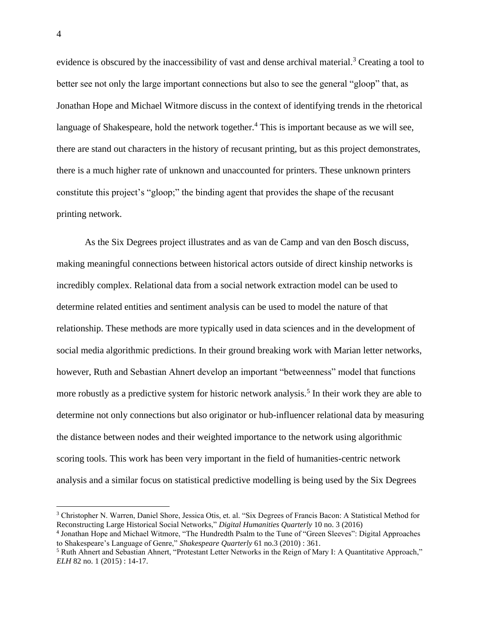evidence is obscured by the inaccessibility of vast and dense archival material.<sup>3</sup> Creating a tool to better see not only the large important connections but also to see the general "gloop" that, as Jonathan Hope and Michael Witmore discuss in the context of identifying trends in the rhetorical language of Shakespeare, hold the network together.<sup>4</sup> This is important because as we will see, there are stand out characters in the history of recusant printing, but as this project demonstrates, there is a much higher rate of unknown and unaccounted for printers. These unknown printers constitute this project's "gloop;" the binding agent that provides the shape of the recusant printing network.

As the Six Degrees project illustrates and as van de Camp and van den Bosch discuss, making meaningful connections between historical actors outside of direct kinship networks is incredibly complex. Relational data from a social network extraction model can be used to determine related entities and sentiment analysis can be used to model the nature of that relationship. These methods are more typically used in data sciences and in the development of social media algorithmic predictions. In their ground breaking work with Marian letter networks, however, Ruth and Sebastian Ahnert develop an important "betweenness" model that functions more robustly as a predictive system for historic network analysis.<sup>5</sup> In their work they are able to determine not only connections but also originator or hub-influencer relational data by measuring the distance between nodes and their weighted importance to the network using algorithmic scoring tools. This work has been very important in the field of humanities-centric network analysis and a similar focus on statistical predictive modelling is being used by the Six Degrees

<sup>3</sup> Christopher N. Warren, Daniel Shore, Jessica Otis, et. al. "Six Degrees of Francis Bacon: A Statistical Method for Reconstructing Large Historical Social Networks," *Digital Humanities Quarterly* 10 no. 3 (2016)

<sup>4</sup> Jonathan Hope and Michael Witmore, "The Hundredth Psalm to the Tune of "Green Sleeves": Digital Approaches to Shakespeare's Language of Genre," *Shakespeare Quarterly* 61 no.3 (2010) : 361.

<sup>&</sup>lt;sup>5</sup> Ruth Ahnert and Sebastian Ahnert, "Protestant Letter Networks in the Reign of Mary I: A Quantitative Approach," *ELH* 82 no. 1 (2015) : 14-17.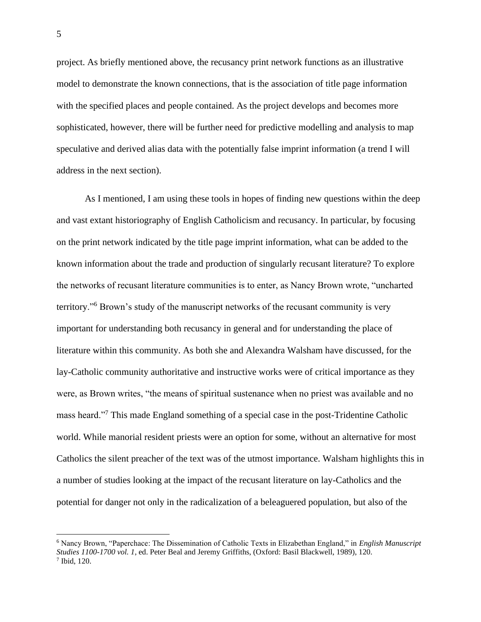project. As briefly mentioned above, the recusancy print network functions as an illustrative model to demonstrate the known connections, that is the association of title page information with the specified places and people contained. As the project develops and becomes more sophisticated, however, there will be further need for predictive modelling and analysis to map speculative and derived alias data with the potentially false imprint information (a trend I will address in the next section).

As I mentioned, I am using these tools in hopes of finding new questions within the deep and vast extant historiography of English Catholicism and recusancy. In particular, by focusing on the print network indicated by the title page imprint information, what can be added to the known information about the trade and production of singularly recusant literature? To explore the networks of recusant literature communities is to enter, as Nancy Brown wrote, "uncharted territory."<sup>6</sup> Brown's study of the manuscript networks of the recusant community is very important for understanding both recusancy in general and for understanding the place of literature within this community. As both she and Alexandra Walsham have discussed, for the lay-Catholic community authoritative and instructive works were of critical importance as they were, as Brown writes, "the means of spiritual sustenance when no priest was available and no mass heard."<sup>7</sup> This made England something of a special case in the post-Tridentine Catholic world. While manorial resident priests were an option for some, without an alternative for most Catholics the silent preacher of the text was of the utmost importance. Walsham highlights this in a number of studies looking at the impact of the recusant literature on lay-Catholics and the potential for danger not only in the radicalization of a beleaguered population, but also of the

<sup>6</sup> Nancy Brown, "Paperchace: The Dissemination of Catholic Texts in Elizabethan England," in *English Manuscript Studies 1100-1700 vol. 1*, ed. Peter Beal and Jeremy Griffiths, (Oxford: Basil Blackwell, 1989), 120. 7 Ibid, 120.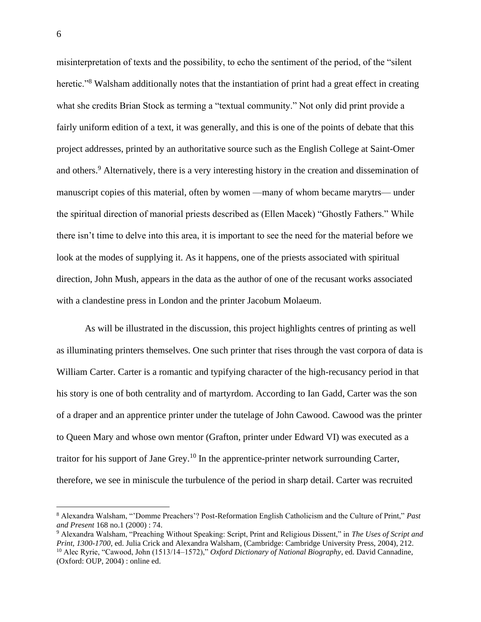misinterpretation of texts and the possibility, to echo the sentiment of the period, of the "silent heretic."<sup>8</sup> Walsham additionally notes that the instantiation of print had a great effect in creating what she credits Brian Stock as terming a "textual community." Not only did print provide a fairly uniform edition of a text, it was generally, and this is one of the points of debate that this project addresses, printed by an authoritative source such as the English College at Saint-Omer and others.<sup>9</sup> Alternatively, there is a very interesting history in the creation and dissemination of manuscript copies of this material, often by women —many of whom became marytrs— under the spiritual direction of manorial priests described as (Ellen Macek) "Ghostly Fathers." While there isn't time to delve into this area, it is important to see the need for the material before we look at the modes of supplying it. As it happens, one of the priests associated with spiritual direction, John Mush, appears in the data as the author of one of the recusant works associated with a clandestine press in London and the printer Jacobum Molaeum.

As will be illustrated in the discussion, this project highlights centres of printing as well as illuminating printers themselves. One such printer that rises through the vast corpora of data is William Carter. Carter is a romantic and typifying character of the high-recusancy period in that his story is one of both centrality and of martyrdom. According to Ian Gadd, Carter was the son of a draper and an apprentice printer under the tutelage of John Cawood. Cawood was the printer to Queen Mary and whose own mentor (Grafton, printer under Edward VI) was executed as a traitor for his support of Jane Grey.<sup>10</sup> In the apprentice-printer network surrounding Carter, therefore, we see in miniscule the turbulence of the period in sharp detail. Carter was recruited

<sup>8</sup> Alexandra Walsham, "'Domme Preachers'? Post-Reformation English Catholicism and the Culture of Print," *Past and Present* 168 no.1 (2000) : 74.

<sup>9</sup> Alexandra Walsham, "Preaching Without Speaking: Script, Print and Religious Dissent," in *The Uses of Script and Print, 1300-1700*, ed. Julia Crick and Alexandra Walsham, (Cambridge: Cambridge University Press, 2004), 212. <sup>10</sup> Alec Ryrie, "Cawood, John (1513/14–1572)," *Oxford Dictionary of National Biography*, ed. David Cannadine, (Oxford: OUP, 2004) : online ed.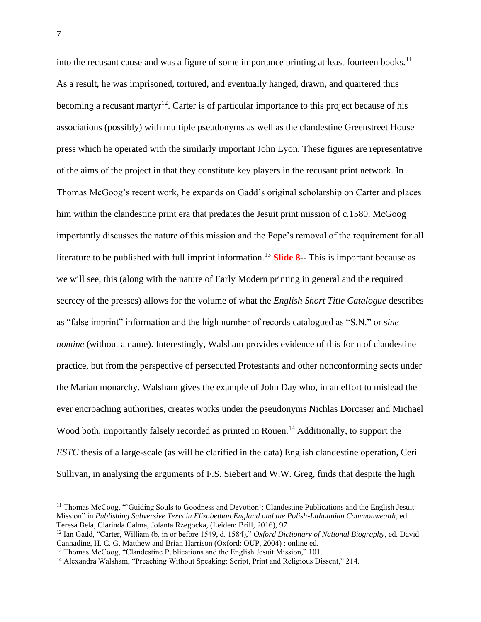into the recusant cause and was a figure of some importance printing at least fourteen books.<sup>11</sup> As a result, he was imprisoned, tortured, and eventually hanged, drawn, and quartered thus becoming a recusant martyr<sup>12</sup>. Carter is of particular importance to this project because of his associations (possibly) with multiple pseudonyms as well as the clandestine Greenstreet House press which he operated with the similarly important John Lyon. These figures are representative of the aims of the project in that they constitute key players in the recusant print network. In Thomas McGoog's recent work, he expands on Gadd's original scholarship on Carter and places him within the clandestine print era that predates the Jesuit print mission of c.1580. McGoog importantly discusses the nature of this mission and the Pope's removal of the requirement for all literature to be published with full imprint information.<sup>13</sup> **Slide 8**-- This is important because as we will see, this (along with the nature of Early Modern printing in general and the required secrecy of the presses) allows for the volume of what the *English Short Title Catalogue* describes as "false imprint" information and the high number of records catalogued as "S.N." or *sine nomine* (without a name). Interestingly, Walsham provides evidence of this form of clandestine practice, but from the perspective of persecuted Protestants and other nonconforming sects under the Marian monarchy. Walsham gives the example of John Day who, in an effort to mislead the ever encroaching authorities, creates works under the pseudonyms Nichlas Dorcaser and Michael Wood both, importantly falsely recorded as printed in Rouen.<sup>14</sup> Additionally, to support the *ESTC* thesis of a large-scale (as will be clarified in the data) English clandestine operation, Ceri Sullivan, in analysing the arguments of F.S. Siebert and W.W. Greg, finds that despite the high

<sup>11</sup> Thomas McCoog, "'Guiding Souls to Goodness and Devotion': Clandestine Publications and the English Jesuit Mission" in *Publishing Subversive Texts in Elizabethan England and the Polish-Lithuanian Commonwealth*, ed. Teresa Bela, Clarinda Calma, Jolanta Rzegocka, (Leiden: Brill, 2016), 97.

<sup>12</sup> Ian Gadd, "Carter, William (b. in or before 1549, d. 1584)," *Oxford Dictionary of National Biography*, ed. David Cannadine, H. C. G. Matthew and Brian Harrison (Oxford: OUP, 2004) : online ed.

<sup>&</sup>lt;sup>13</sup> Thomas McCoog, "Clandestine Publications and the English Jesuit Mission," 101.

<sup>&</sup>lt;sup>14</sup> Alexandra Walsham, "Preaching Without Speaking: Script, Print and Religious Dissent," 214.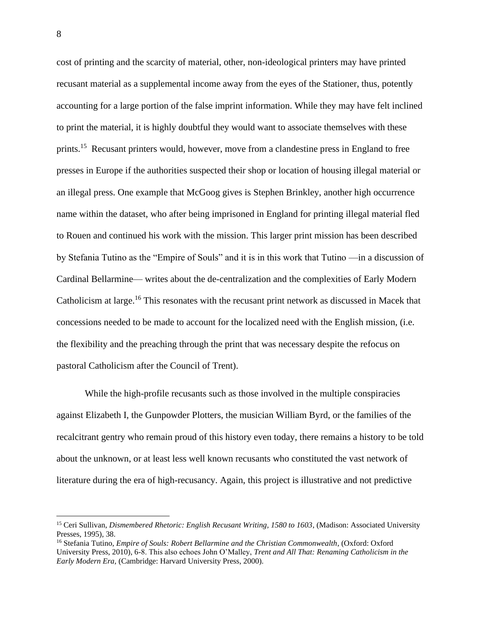cost of printing and the scarcity of material, other, non-ideological printers may have printed recusant material as a supplemental income away from the eyes of the Stationer, thus, potently accounting for a large portion of the false imprint information. While they may have felt inclined to print the material, it is highly doubtful they would want to associate themselves with these prints.<sup>15</sup> Recusant printers would, however, move from a clandestine press in England to free presses in Europe if the authorities suspected their shop or location of housing illegal material or an illegal press. One example that McGoog gives is Stephen Brinkley, another high occurrence name within the dataset, who after being imprisoned in England for printing illegal material fled to Rouen and continued his work with the mission. This larger print mission has been described by Stefania Tutino as the "Empire of Souls" and it is in this work that Tutino —in a discussion of Cardinal Bellarmine— writes about the de-centralization and the complexities of Early Modern Catholicism at large.<sup>16</sup> This resonates with the recusant print network as discussed in Macek that concessions needed to be made to account for the localized need with the English mission, (i.e. the flexibility and the preaching through the print that was necessary despite the refocus on pastoral Catholicism after the Council of Trent).

While the high-profile recusants such as those involved in the multiple conspiracies against Elizabeth I, the Gunpowder Plotters, the musician William Byrd, or the families of the recalcitrant gentry who remain proud of this history even today, there remains a history to be told about the unknown, or at least less well known recusants who constituted the vast network of literature during the era of high-recusancy. Again, this project is illustrative and not predictive

<sup>15</sup> Ceri Sullivan, *Dismembered Rhetoric: English Recusant Writing, 1580 to 1603*, (Madison: Associated University Presses, 1995), 38.

<sup>16</sup> Stefania Tutino, *Empire of Souls: Robert Bellarmine and the Christian Commonwealth*, (Oxford: Oxford University Press, 2010), 6-8. This also echoes John O'Malley, *Trent and All That: Renaming Catholicism in the Early Modern Era,* (Cambridge: Harvard University Press, 2000).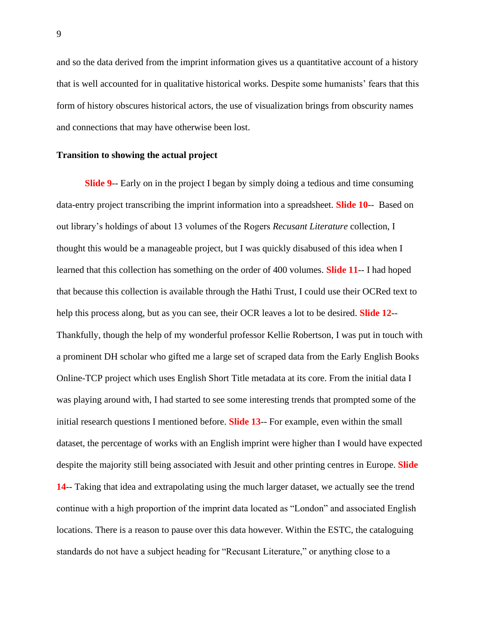and so the data derived from the imprint information gives us a quantitative account of a history that is well accounted for in qualitative historical works. Despite some humanists' fears that this form of history obscures historical actors, the use of visualization brings from obscurity names and connections that may have otherwise been lost.

## **Transition to showing the actual project**

**Slide 9**-- Early on in the project I began by simply doing a tedious and time consuming data-entry project transcribing the imprint information into a spreadsheet. **Slide 10**-- Based on out library's holdings of about 13 volumes of the Rogers *Recusant Literature* collection, I thought this would be a manageable project, but I was quickly disabused of this idea when I learned that this collection has something on the order of 400 volumes. **Slide 11**-- I had hoped that because this collection is available through the Hathi Trust, I could use their OCRed text to help this process along, but as you can see, their OCR leaves a lot to be desired. **Slide 12**-- Thankfully, though the help of my wonderful professor Kellie Robertson, I was put in touch with a prominent DH scholar who gifted me a large set of scraped data from the Early English Books Online-TCP project which uses English Short Title metadata at its core. From the initial data I was playing around with, I had started to see some interesting trends that prompted some of the initial research questions I mentioned before. **Slide 13**-- For example, even within the small dataset, the percentage of works with an English imprint were higher than I would have expected despite the majority still being associated with Jesuit and other printing centres in Europe. **Slide 14**-- Taking that idea and extrapolating using the much larger dataset, we actually see the trend continue with a high proportion of the imprint data located as "London" and associated English locations. There is a reason to pause over this data however. Within the ESTC, the cataloguing standards do not have a subject heading for "Recusant Literature," or anything close to a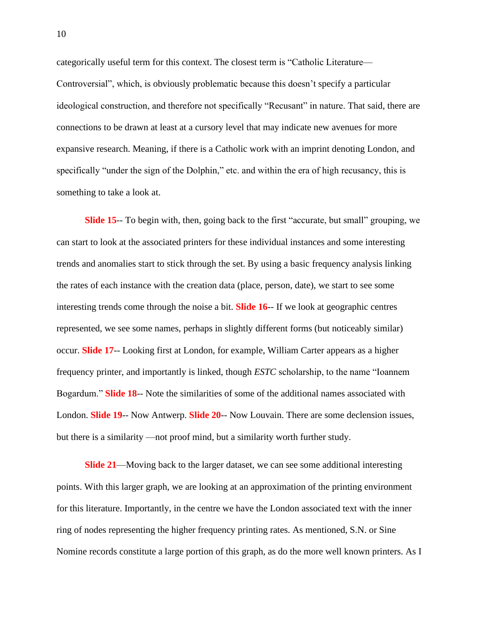categorically useful term for this context. The closest term is "Catholic Literature— Controversial", which, is obviously problematic because this doesn't specify a particular ideological construction, and therefore not specifically "Recusant" in nature. That said, there are connections to be drawn at least at a cursory level that may indicate new avenues for more expansive research. Meaning, if there is a Catholic work with an imprint denoting London, and specifically "under the sign of the Dolphin," etc. and within the era of high recusancy, this is something to take a look at.

**Slide 15**-- To begin with, then, going back to the first "accurate, but small" grouping, we can start to look at the associated printers for these individual instances and some interesting trends and anomalies start to stick through the set. By using a basic frequency analysis linking the rates of each instance with the creation data (place, person, date), we start to see some interesting trends come through the noise a bit. **Slide 16**-- If we look at geographic centres represented, we see some names, perhaps in slightly different forms (but noticeably similar) occur. **Slide 17**-- Looking first at London, for example, William Carter appears as a higher frequency printer, and importantly is linked, though *ESTC* scholarship, to the name "Ioannem Bogardum." **Slide 18**-- Note the similarities of some of the additional names associated with London. **Slide 19**-- Now Antwerp. **Slide 20**-- Now Louvain. There are some declension issues, but there is a similarity —not proof mind, but a similarity worth further study.

**Slide 21**—Moving back to the larger dataset, we can see some additional interesting points. With this larger graph, we are looking at an approximation of the printing environment for this literature. Importantly, in the centre we have the London associated text with the inner ring of nodes representing the higher frequency printing rates. As mentioned, S.N. or Sine Nomine records constitute a large portion of this graph, as do the more well known printers. As I